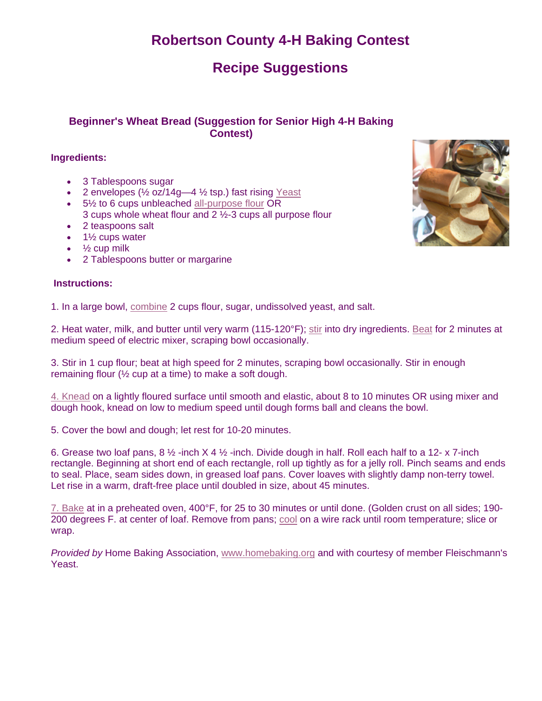# **Robertson County 4-H Baking Contest**

# **Recipe Suggestions**

### **Beginner's Wheat Bread (Suggestion for Senior High 4-H Baking Contest)**

#### **Ingredients:**

- 3 Tablespoons sugar
- 2 envelopes  $(\frac{1}{2}$  oz/14g-4 $\frac{1}{2}$  tsp.) fast rising Yeast
- 5<sup>1/2</sup> to 6 cups unbleached all-purpose flour OR 3 cups whole wheat flour and 2 ½-3 cups all purpose flour
- 2 teaspoons salt
- $\bullet$  1½ cups water
- $\bullet$   $\frac{1}{2}$  cup milk
- 2 Tablespoons butter or margarine

#### **Instructions:**

1. In a large bowl, combine 2 cups flour, sugar, undissolved yeast, and salt.

2. Heat water, milk, and butter until very warm (115-120°F); stir into dry ingredients. Beat for 2 minutes at medium speed of electric mixer, scraping bowl occasionally.

3. Stir in 1 cup flour; beat at high speed for 2 minutes, scraping bowl occasionally. Stir in enough remaining flour  $(½ \text{ cup at a time})$  to make a soft dough.

4. Knead on a lightly floured surface until smooth and elastic, about 8 to 10 minutes OR using mixer and dough hook, knead on low to medium speed until dough forms ball and cleans the bowl.

5. Cover the bowl and dough; let rest for 10-20 minutes.

6. Grease two loaf pans,  $8\frac{1}{2}$ -inch  $X$  4 $\frac{1}{2}$ -inch. Divide dough in half. Roll each half to a 12- x 7-inch rectangle. Beginning at short end of each rectangle, roll up tightly as for a jelly roll. Pinch seams and ends to seal. Place, seam sides down, in greased loaf pans. Cover loaves with slightly damp non-terry towel. Let rise in a warm, draft-free place until doubled in size, about 45 minutes.

7. Bake at in a preheated oven, 400°F, for 25 to 30 minutes or until done. (Golden crust on all sides; 190- 200 degrees F. at center of loaf. Remove from pans; cool on a wire rack until room temperature; slice or wrap.

*Provided by* Home Baking Association, www.homebaking.org and with courtesy of member Fleischmann's Yeast.

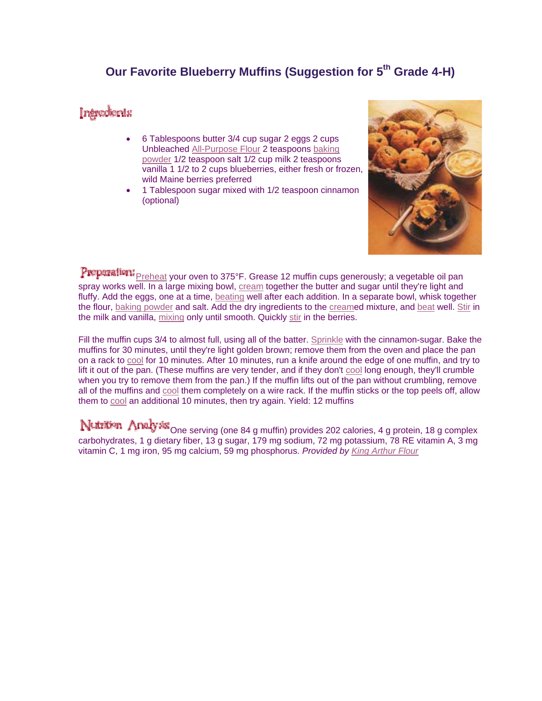### **Our Favorite Blueberry Muffins (Suggestion for 5<sup>th</sup> Grade 4-H)**

### Intredients

- 6 Tablespoons butter 3/4 cup sugar 2 eggs 2 cups Unbleached All-Purpose Flour 2 teaspoons baking powder 1/2 teaspoon salt 1/2 cup milk 2 teaspoons vanilla 1 1/2 to 2 cups blueberries, either fresh or frozen, wild Maine berries preferred
- 1 Tablespoon sugar mixed with 1/2 teaspoon cinnamon (optional)



Preparation: Preheat your oven to 375°F. Grease 12 muffin cups generously; a vegetable oil pan spray works well. In a large mixing bowl, cream together the butter and sugar until they're light and fluffy. Add the eggs, one at a time, beating well after each addition. In a separate bowl, whisk together the flour, baking powder and salt. Add the dry ingredients to the creamed mixture, and beat well. Stir in the milk and vanilla, mixing only until smooth. Quickly stir in the berries.

Fill the muffin cups 3/4 to almost full, using all of the batter. Sprinkle with the cinnamon-sugar. Bake the muffins for 30 minutes, until they're light golden brown; remove them from the oven and place the pan on a rack to cool for 10 minutes. After 10 minutes, run a knife around the edge of one muffin, and try to lift it out of the pan. (These muffins are very tender, and if they don't cool long enough, they'll crumble when you try to remove them from the pan.) If the muffin lifts out of the pan without crumbling, remove all of the muffins and cool them completely on a wire rack. If the muffin sticks or the top peels off, allow them to cool an additional 10 minutes, then try again. Yield: 12 muffins

Nutrition Analysis One serving (one 84 g muffin) provides 202 calories, 4 g protein, 18 g complex carbohydrates, 1 g dietary fiber, 13 g sugar, 179 mg sodium, 72 mg potassium, 78 RE vitamin A, 3 mg vitamin C, 1 mg iron, 95 mg calcium, 59 mg phosphorus. *Provided by King Arthur Flour*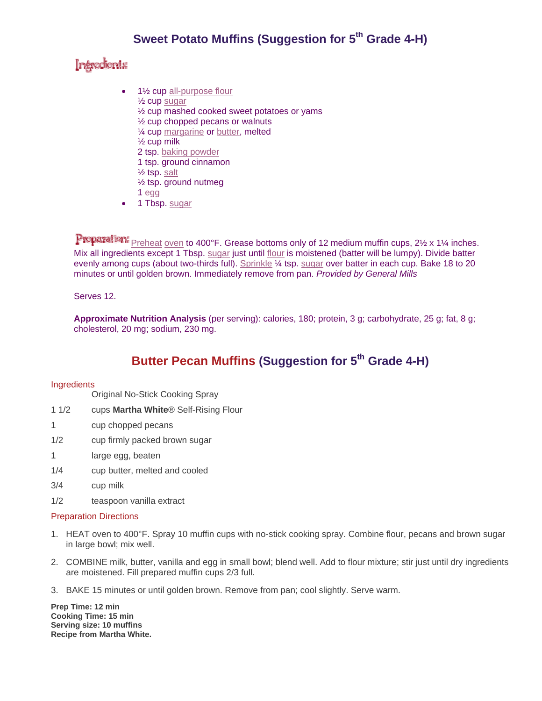## Intredents

- 1½ cup all-purpose flour
	- ½ cup sugar
	- ½ cup mashed cooked sweet potatoes or yams
	- ½ cup chopped pecans or walnuts
	- ¼ cup margarine or butter, melted
	- ½ cup milk
	- 2 tsp. baking powder
	- 1 tsp. ground cinnamon
	- ½ tsp. salt
	- ½ tsp. ground nutmeg
	- 1 egg
- 1 Tbsp. sugar

Preparation: Preheat oven to 400°F. Grease bottoms only of 12 medium muffin cups, 2½ x 1½ inches. Mix all ingredients except 1 Tbsp. sugar just until flour is moistened (batter will be lumpy). Divide batter evenly among cups (about two-thirds full). Sprinkle ¼ tsp. sugar over batter in each cup. Bake 18 to 20 minutes or until golden brown. Immediately remove from pan. *Provided by General Mills* 

#### Serves 12.

**Approximate Nutrition Analysis** (per serving): calories, 180; protein, 3 g; carbohydrate, 25 g; fat, 8 g; cholesterol, 20 mg; sodium, 230 mg.

# **Butter Pecan Muffins (Suggestion for 5<sup>th</sup> Grade 4-H)**

#### Ingredients

Original No-Stick Cooking Spray

- 1 1/2 cups **Martha White**® Self-Rising Flour
- 1 cup chopped pecans
- 1/2 cup firmly packed brown sugar
- 1 large egg, beaten
- 1/4 cup butter, melted and cooled
- 3/4 cup milk
- 1/2 teaspoon vanilla extract

#### Preparation Directions

- 1. HEAT oven to 400°F. Spray 10 muffin cups with no-stick cooking spray. Combine flour, pecans and brown sugar in large bowl; mix well.
- 2. COMBINE milk, butter, vanilla and egg in small bowl; blend well. Add to flour mixture; stir just until dry ingredients are moistened. Fill prepared muffin cups 2/3 full.
- 3. BAKE 15 minutes or until golden brown. Remove from pan; cool slightly. Serve warm.

**Prep Time: 12 min Cooking Time: 15 min Serving size: 10 muffins Recipe from Martha White.**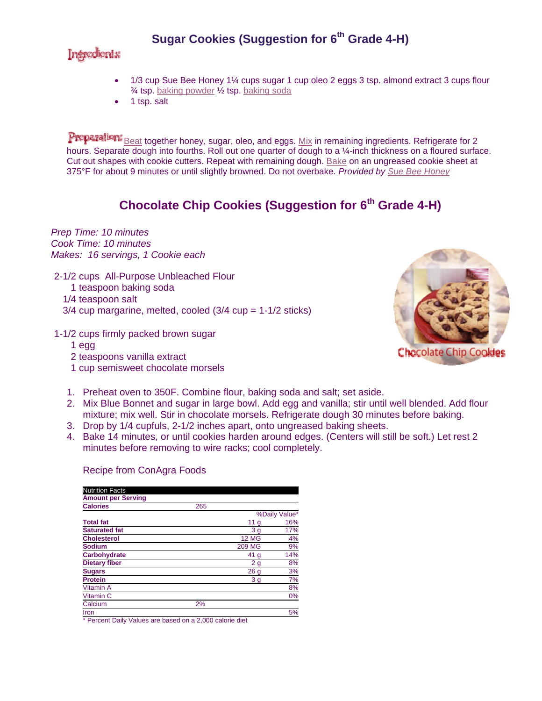# **Sugar Cookies (Suggestion for 6<sup>th</sup> Grade 4-H)**

### Introdents

- 1/3 cup Sue Bee Honey 1¼ cups sugar 1 cup oleo 2 eggs 3 tsp. almond extract 3 cups flour ¾ tsp. baking powder ½ tsp. baking soda
- 1 tsp. salt

Preparation: Beat together honey, sugar, oleo, and eggs. Mix in remaining ingredients. Refrigerate for 2 hours. Separate dough into fourths. Roll out one quarter of dough to a ¼-inch thickness on a floured surface. Cut out shapes with cookie cutters. Repeat with remaining dough. Bake on an ungreased cookie sheet at 375°F for about 9 minutes or until slightly browned. Do not overbake. *Provided by Sue Bee Honey*

## **Chocolate Chip Cookies (Suggestion for 6<sup>th</sup> Grade 4-H)**

*Prep Time: 10 minutes Cook Time: 10 minutes Makes: 16 servings, 1 Cookie each*

- 2-1/2 cups All-Purpose Unbleached Flour
	- 1 teaspoon baking soda
	- 1/4 teaspoon salt
	- $3/4$  cup margarine, melted, cooled  $(3/4$  cup =  $1-1/2$  sticks)
- 1-1/2 cups firmly packed brown sugar
	- 1egg
	- 2 teaspoons vanilla extract
	- 1cup semisweet chocolate morsels



- 1. Preheat oven to 350F. Combine flour, baking soda and salt; set aside.
- 2. Mix Blue Bonnet and sugar in large bowl. Add egg and vanilla; stir until well blended. Add flour mixture; mix well. Stir in chocolate morsels. Refrigerate dough 30 minutes before baking.
- 3. Drop by 1/4 cupfuls, 2-1/2 inches apart, onto ungreased baking sheets.
- 4. Bake 14 minutes, or until cookies harden around edges. (Centers will still be soft.) Let rest 2 minutes before removing to wire racks; cool completely.

#### Recipe from ConAgra Foods

| <b>Nutrition Facts</b>    |     |                 |     |
|---------------------------|-----|-----------------|-----|
| <b>Amount per Serving</b> |     |                 |     |
| <b>Calories</b>           | 265 |                 |     |
|                           |     | %Daily Value*   |     |
| <b>Total fat</b>          |     | 11 <sub>g</sub> | 16% |
| <b>Saturated fat</b>      |     | 3 <sub>g</sub>  | 17% |
| <b>Cholesterol</b>        |     | <b>12 MG</b>    | 4%  |
| <b>Sodium</b>             |     | <b>209 MG</b>   | 9%  |
| Carbohydrate              |     | 41 <sub>g</sub> | 14% |
| <b>Dietary fiber</b>      |     | 2 <sub>g</sub>  | 8%  |
| <b>Sugars</b>             |     | 26 <sub>g</sub> | 3%  |
| <b>Protein</b>            |     | 3g              | 7%  |
| Vitamin A                 |     |                 | 8%  |
| Vitamin C                 |     |                 | 0%  |
| Calcium                   | 2%  |                 |     |
| Iron                      |     |                 | 5%  |
|                           |     |                 |     |

\* Percent Daily Values are based on a 2,000 calorie diet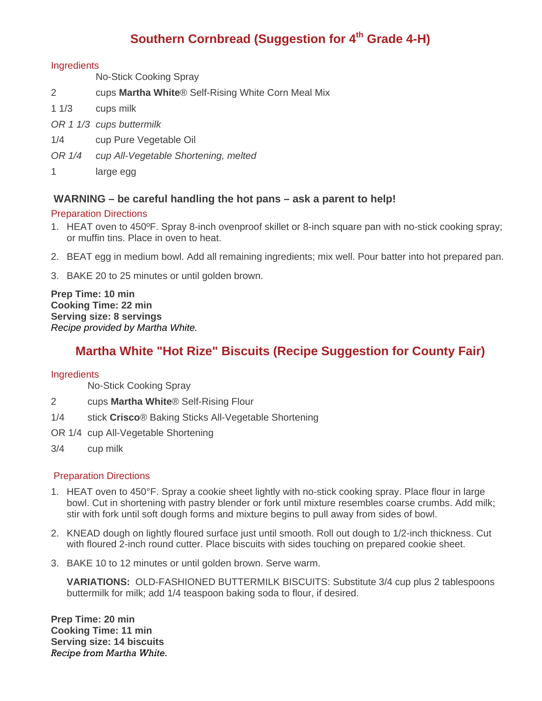# **Southern Cornbread (Suggestion for 4th Grade 4-H)**

#### **Ingredients**

No-Stick Cooking Spray

- 2 cups **Martha White**® Self-Rising White Corn Meal Mix
- 1 1/3 cups milk
- *OR 1 1/3 cups buttermilk*
- 1/4 cup Pure Vegetable Oil
- *OR 1/4 cup All-Vegetable Shortening, melted*
- 1 large egg

### **WARNING – be careful handling the hot pans – ask a parent to help!**

#### Preparation Directions

- 1. HEAT oven to 450ºF. Spray 8-inch ovenproof skillet or 8-inch square pan with no-stick cooking spray; or muffin tins. Place in oven to heat.
- 2. BEAT egg in medium bowl. Add all remaining ingredients; mix well. Pour batter into hot prepared pan.
- 3. BAKE 20 to 25 minutes or until golden brown.

**Prep Time: 10 min Cooking Time: 22 min Serving size: 8 servings**  *Recipe provided by Martha White.* 

### **Martha White "Hot Rize" Biscuits (Recipe Suggestion for County Fair)**

#### **Ingredients**

No-Stick Cooking Spray

- 2 cups **Martha White**® Self-Rising Flour
- 1/4 stick **Crisco**® Baking Sticks All-Vegetable Shortening
- OR 1/4 cup All-Vegetable Shortening
- 3/4 cup milk

#### Preparation Directions

- 1. HEAT oven to 450°F. Spray a cookie sheet lightly with no-stick cooking spray. Place flour in large bowl. Cut in shortening with pastry blender or fork until mixture resembles coarse crumbs. Add milk; stir with fork until soft dough forms and mixture begins to pull away from sides of bowl.
- 2. KNEAD dough on lightly floured surface just until smooth. Roll out dough to 1/2-inch thickness. Cut with floured 2-inch round cutter. Place biscuits with sides touching on prepared cookie sheet.
- 3. BAKE 10 to 12 minutes or until golden brown. Serve warm.

 **VARIATIONS:** OLD-FASHIONED BUTTERMILK BISCUITS: Substitute 3/4 cup plus 2 tablespoons buttermilk for milk; add 1/4 teaspoon baking soda to flour, if desired.

**Prep Time: 20 min Cooking Time: 11 min Serving size: 14 biscuits**  *Recipe from Martha White.*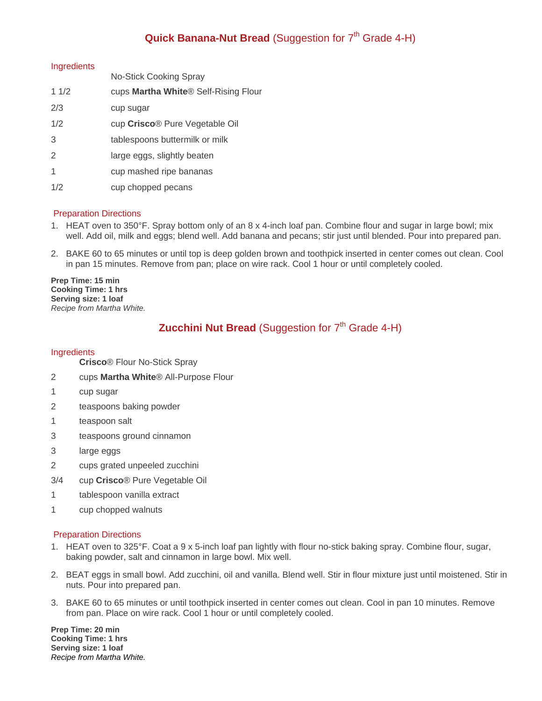### **Quick Banana-Nut Bread** (Suggestion for 7<sup>th</sup> Grade 4-H)

#### **Ingredients**

|      | <b>No-Stick Cooking Spray</b>                    |
|------|--------------------------------------------------|
| 11/2 | cups Martha White <sup>®</sup> Self-Rising Flour |
| 2/3  | cup sugar                                        |
| 1/2  | cup Crisco® Pure Vegetable Oil                   |
| 3    | tablespoons buttermilk or milk                   |
| 2    | large eggs, slightly beaten                      |
| 1    | cup mashed ripe bananas                          |
| 1/2  | cup chopped pecans                               |
|      |                                                  |

#### Preparation Directions

- 1. HEAT oven to 350°F. Spray bottom only of an 8 x 4-inch loaf pan. Combine flour and sugar in large bowl; mix well. Add oil, milk and eggs; blend well. Add banana and pecans; stir just until blended. Pour into prepared pan.
- 2. BAKE 60 to 65 minutes or until top is deep golden brown and toothpick inserted in center comes out clean. Cool in pan 15 minutes. Remove from pan; place on wire rack. Cool 1 hour or until completely cooled.

**Prep Time: 15 min Cooking Time: 1 hrs Serving size: 1 loaf**  *Recipe from Martha White.* 

### **Zucchini Nut Bread** (Suggestion for 7<sup>th</sup> Grade 4-H)

#### **Ingredients**

- **Crisco**® Flour No-Stick Spray
- 2 cups **Martha White**® All-Purpose Flour
- 1 cup sugar
- 2 teaspoons baking powder
- 1 teaspoon salt
- 3 teaspoons ground cinnamon
- 3 large eggs
- 2 cups grated unpeeled zucchini
- 3/4 cup **Crisco**® Pure Vegetable Oil
- 1 tablespoon vanilla extract
- 1 cup chopped walnuts

#### Preparation Directions

- 1. HEAT oven to 325°F. Coat a 9 x 5-inch loaf pan lightly with flour no-stick baking spray. Combine flour, sugar, baking powder, salt and cinnamon in large bowl. Mix well.
- 2. BEAT eggs in small bowl. Add zucchini, oil and vanilla. Blend well. Stir in flour mixture just until moistened. Stir in nuts. Pour into prepared pan.
- 3. BAKE 60 to 65 minutes or until toothpick inserted in center comes out clean. Cool in pan 10 minutes. Remove from pan. Place on wire rack. Cool 1 hour or until completely cooled.

**Prep Time: 20 min Cooking Time: 1 hrs Serving size: 1 loaf**  *Recipe from Martha White.*